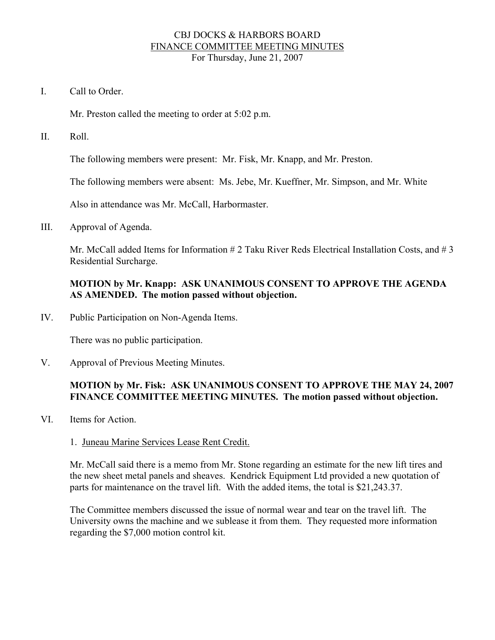## CBJ DOCKS & HARBORS BOARD FINANCE COMMITTEE MEETING MINUTES For Thursday, June 21, 2007

I. Call to Order.

Mr. Preston called the meeting to order at 5:02 p.m.

II. Roll.

The following members were present: Mr. Fisk, Mr. Knapp, and Mr. Preston.

The following members were absent: Ms. Jebe, Mr. Kueffner, Mr. Simpson, and Mr. White

Also in attendance was Mr. McCall, Harbormaster.

III. Approval of Agenda.

Mr. McCall added Items for Information # 2 Taku River Reds Electrical Installation Costs, and # 3 Residential Surcharge.

# **MOTION by Mr. Knapp: ASK UNANIMOUS CONSENT TO APPROVE THE AGENDA AS AMENDED. The motion passed without objection.**

IV. Public Participation on Non-Agenda Items.

There was no public participation.

V. Approval of Previous Meeting Minutes.

# **MOTION by Mr. Fisk: ASK UNANIMOUS CONSENT TO APPROVE THE MAY 24, 2007 FINANCE COMMITTEE MEETING MINUTES. The motion passed without objection.**

VI. Items for Action.

### 1. Juneau Marine Services Lease Rent Credit.

Mr. McCall said there is a memo from Mr. Stone regarding an estimate for the new lift tires and the new sheet metal panels and sheaves. Kendrick Equipment Ltd provided a new quotation of parts for maintenance on the travel lift. With the added items, the total is \$21,243.37.

The Committee members discussed the issue of normal wear and tear on the travel lift. The University owns the machine and we sublease it from them. They requested more information regarding the \$7,000 motion control kit.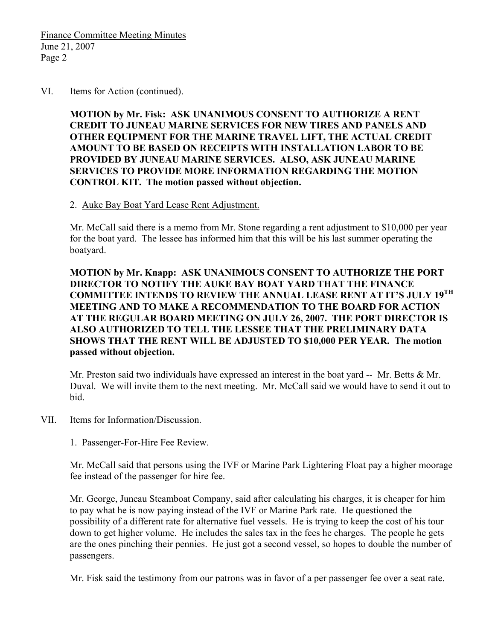Finance Committee Meeting Minutes June 21, 2007 Page 2

#### VI. Items for Action (continued).

**MOTION by Mr. Fisk: ASK UNANIMOUS CONSENT TO AUTHORIZE A RENT CREDIT TO JUNEAU MARINE SERVICES FOR NEW TIRES AND PANELS AND OTHER EQUIPMENT FOR THE MARINE TRAVEL LIFT, THE ACTUAL CREDIT AMOUNT TO BE BASED ON RECEIPTS WITH INSTALLATION LABOR TO BE PROVIDED BY JUNEAU MARINE SERVICES. ALSO, ASK JUNEAU MARINE SERVICES TO PROVIDE MORE INFORMATION REGARDING THE MOTION CONTROL KIT. The motion passed without objection.** 

### 2. Auke Bay Boat Yard Lease Rent Adjustment.

Mr. McCall said there is a memo from Mr. Stone regarding a rent adjustment to \$10,000 per year for the boat yard. The lessee has informed him that this will be his last summer operating the boatyard.

**MOTION by Mr. Knapp: ASK UNANIMOUS CONSENT TO AUTHORIZE THE PORT DIRECTOR TO NOTIFY THE AUKE BAY BOAT YARD THAT THE FINANCE COMMITTEE INTENDS TO REVIEW THE ANNUAL LEASE RENT AT IT'S JULY 19TH MEETING AND TO MAKE A RECOMMENDATION TO THE BOARD FOR ACTION AT THE REGULAR BOARD MEETING ON JULY 26, 2007. THE PORT DIRECTOR IS ALSO AUTHORIZED TO TELL THE LESSEE THAT THE PRELIMINARY DATA SHOWS THAT THE RENT WILL BE ADJUSTED TO \$10,000 PER YEAR. The motion passed without objection.** 

Mr. Preston said two individuals have expressed an interest in the boat yard -- Mr. Betts & Mr. Duval. We will invite them to the next meeting. Mr. McCall said we would have to send it out to bid.

VII. Items for Information/Discussion.

# 1. Passenger-For-Hire Fee Review.

Mr. McCall said that persons using the IVF or Marine Park Lightering Float pay a higher moorage fee instead of the passenger for hire fee.

Mr. George, Juneau Steamboat Company, said after calculating his charges, it is cheaper for him to pay what he is now paying instead of the IVF or Marine Park rate. He questioned the possibility of a different rate for alternative fuel vessels. He is trying to keep the cost of his tour down to get higher volume. He includes the sales tax in the fees he charges. The people he gets are the ones pinching their pennies. He just got a second vessel, so hopes to double the number of passengers.

Mr. Fisk said the testimony from our patrons was in favor of a per passenger fee over a seat rate.